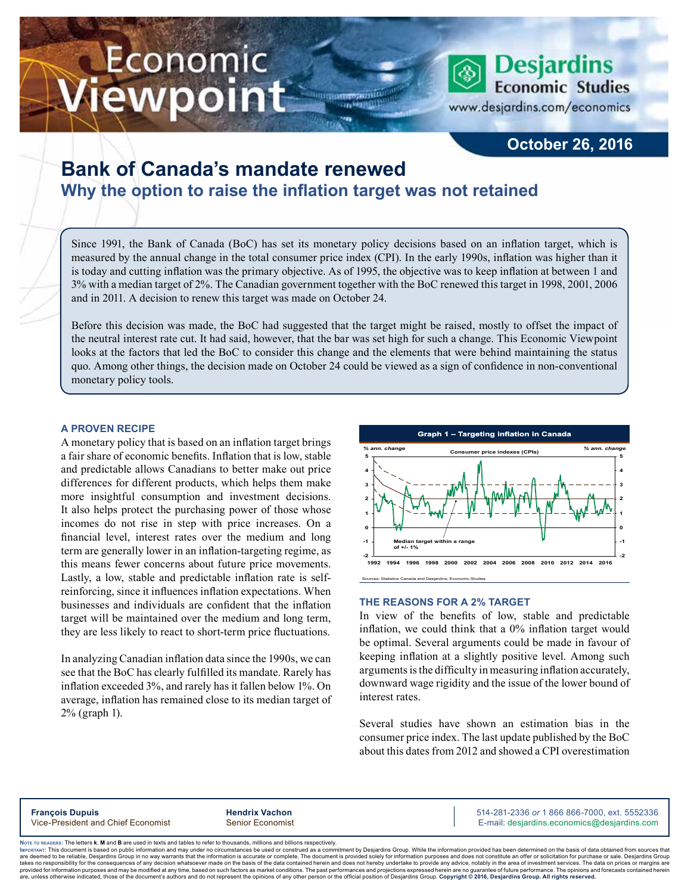# Economic iewpoint



www.desjardins.com/economics

### **October 26, 2016**

## **Bank of Canada's mandate renewed Why the option to raise the inflation target was not retained**

Since 1991, the Bank of Canada (BoC) has set its monetary policy decisions based on an inflation target, which is measured by the annual change in the total consumer price index (CPI). In the early 1990s, inflation was higher than it is today and cutting inflation was the primary objective. As of 1995, the objective was to keep inflation at between 1 and 3% with a median target of 2%. The Canadian government together with the BoC renewed this target in 1998, 2001, 2006 and in 2011. A decision to renew this target was made on October 24.

Before this decision was made, the BoC had suggested that the target might be raised, mostly to offset the impact of the neutral interest rate cut. It had said, however, that the bar was set high for such a change. This Economic Viewpoint looks at the factors that led the BoC to consider this change and the elements that were behind maintaining the status quo. Among other things, the decision made on October 24 could be viewed as a sign of confidence in non-conventional monetary policy tools.

#### **A PROVEN RECIPE**

A monetary policy that is based on an inflation target brings a fair share of economic benefits. Inflation that is low, stable and predictable allows Canadians to better make out price differences for different products, which helps them make more insightful consumption and investment decisions. It also helps protect the purchasing power of those whose incomes do not rise in step with price increases. On a financial level, interest rates over the medium and long term are generally lower in an inflation-targeting regime, as this means fewer concerns about future price movements. Lastly, a low, stable and predictable inflation rate is selfreinforcing, since it influences inflation expectations. When businesses and individuals are confident that the inflation target will be maintained over the medium and long term, they are less likely to react to short-term price fluctuations.

In analyzing Canadian inflation data since the 1990s, we can see that the BoC has clearly fulfilled its mandate. Rarely has inflation exceeded 3%, and rarely has it fallen below 1%. On average, inflation has remained close to its median target of 2% (graph 1).



#### **THE REASONS FOR A 2% TARGET**

In view of the benefits of low, stable and predictable inflation, we could think that a 0% inflation target would be optimal. Several arguments could be made in favour of keeping inflation at a slightly positive level. Among such arguments is the difficulty in measuring inflation accurately, downward wage rigidity and the issue of the lower bound of interest rates.

Several studies have shown an estimation bias in the consumer price index. The last update published by the BoC about this dates from 2012 and showed a CPI overestimation

**François Dupuis Hendrix Vachon** 514-281-2336 *or* 1 866 866-7000, ext. 5552336 Vice-President and Chief Economist Senior Economist Senior Economist E-mail: desjardins.economics@desjardins.com

Noте то келоекs: The letters **k, M** and **B** are used in texts and tables to refer to thousands, millions and billions respectively.<br>Імроктлит: This document is based on public information and may under no circumstances be are deemed to be reliable. Desiardins Group in no way warrants that the information is accurate or complete. The document is provided solely for information purposes and does not constitute an offer or solicitation for pur takes no responsibility for the consequences of any decision whatsoever made on the basis of the data contained herein and does not hereby undertake to provide any advice, notably in the area of investment services. The da .<br>are, unless otherwise indicated, those of the document's authors and do not represent the opinions of any other person or the official position of Desjardins Group. Copyright @ 2016, Desjardins Group. All rights reserved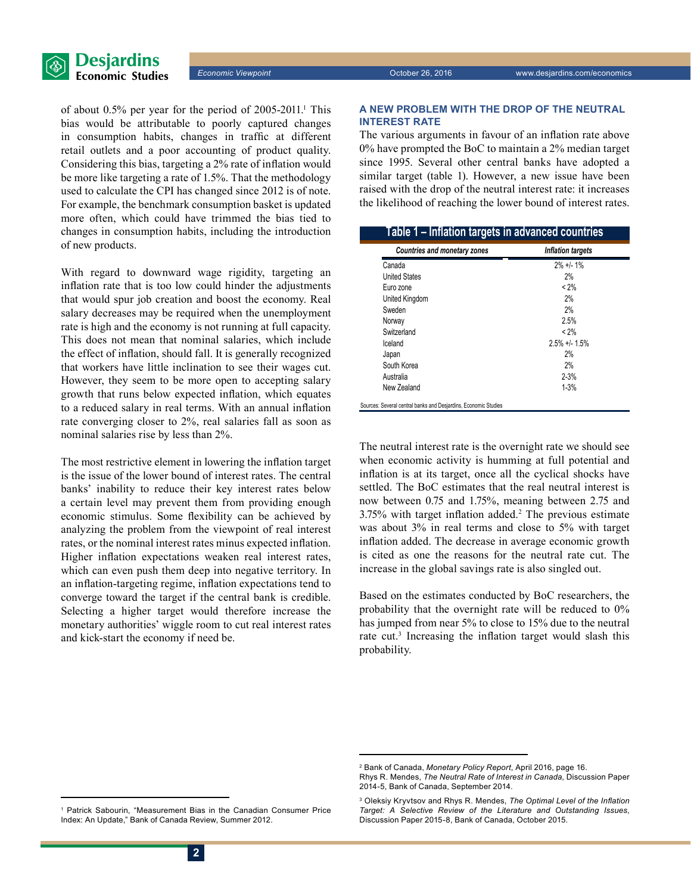

of about 0.5% per year for the period of 2005-2011.<sup>1</sup> This bias would be attributable to poorly captured changes in consumption habits, changes in traffic at different retail outlets and a poor accounting of product quality. Considering this bias, targeting a 2% rate of inflation would be more like targeting a rate of 1.5%. That the methodology used to calculate the CPI has changed since 2012 is of note. For example, the benchmark consumption basket is updated more often, which could have trimmed the bias tied to changes in consumption habits, including the introduction of new products.

With regard to downward wage rigidity, targeting an inflation rate that is too low could hinder the adjustments that would spur job creation and boost the economy. Real salary decreases may be required when the unemployment rate is high and the economy is not running at full capacity. This does not mean that nominal salaries, which include the effect of inflation, should fall. It is generally recognized that workers have little inclination to see their wages cut. However, they seem to be more open to accepting salary growth that runs below expected inflation, which equates to a reduced salary in real terms. With an annual inflation rate converging closer to 2%, real salaries fall as soon as nominal salaries rise by less than 2%.

The most restrictive element in lowering the inflation target is the issue of the lower bound of interest rates. The central banks' inability to reduce their key interest rates below a certain level may prevent them from providing enough economic stimulus. Some flexibility can be achieved by analyzing the problem from the viewpoint of real interest rates, or the nominal interest rates minus expected inflation. Higher inflation expectations weaken real interest rates, which can even push them deep into negative territory. In an inflation-targeting regime, inflation expectations tend to converge toward the target if the central bank is credible. Selecting a higher target would therefore increase the monetary authorities' wiggle room to cut real interest rates and kick-start the economy if need be.

#### **A NEW PROBLEM WITH THE DROP OF THE NEUTRAL INTEREST RATE**

The various arguments in favour of an inflation rate above 0% have prompted the BoC to maintain a 2% median target since 1995. Several other central banks have adopted a similar target (table 1). However, a new issue have been raised with the drop of the neutral interest rate: it increases the likelihood of reaching the lower bound of interest rates.

| <b>Countries and monetary zones</b> | <b>Inflation targets</b> |
|-------------------------------------|--------------------------|
| Canada                              | $2\% +1 - 1\%$           |
| <b>United States</b>                | 2%                       |
| Euro zone                           | $< 2\%$                  |
| United Kingdom                      | 2%                       |
| Sweden                              | 2%                       |
| Norway                              | 2.5%                     |
| Switzerland                         | $< 2\%$                  |
| Iceland                             | $2.5\% +1.1.5\%$         |
| Japan                               | 2%                       |
| South Korea                         | 2%                       |
| Australia                           | $2 - 3%$                 |
| New Zealand                         | $1 - 3%$                 |

The neutral interest rate is the overnight rate we should see when economic activity is humming at full potential and inflation is at its target, once all the cyclical shocks have settled. The BoC estimates that the real neutral interest is now between 0.75 and 1.75%, meaning between 2.75 and 3.75% with target inflation added.<sup>2</sup> The previous estimate was about 3% in real terms and close to 5% with target inflation added. The decrease in average economic growth is cited as one the reasons for the neutral rate cut. The increase in the global savings rate is also singled out.

Based on the estimates conducted by BoC researchers, the probability that the overnight rate will be reduced to 0% has jumped from near 5% to close to 15% due to the neutral rate cut.<sup>3</sup> Increasing the inflation target would slash this probability.

<sup>2</sup> Bank of Canada, *Monetary Policy Report*, April 2016, page 16.

Rhys R. Mendes, *The Neutral Rate of Interest in Canada*, Discussion Paper 2014-5, Bank of Canada, September 2014.

<sup>3</sup> Oleksiy Kryvtsov and Rhys R. Mendes, *The Optimal Level of the Inflation Target: A Selective Review of the Literature and Outstanding Issues*, Discussion Paper 2015-8, Bank of Canada, October 2015.

<sup>1</sup> Patrick Sabourin, "Measurement Bias in the Canadian Consumer Price Index: An Update," Bank of Canada Review, Summer 2012.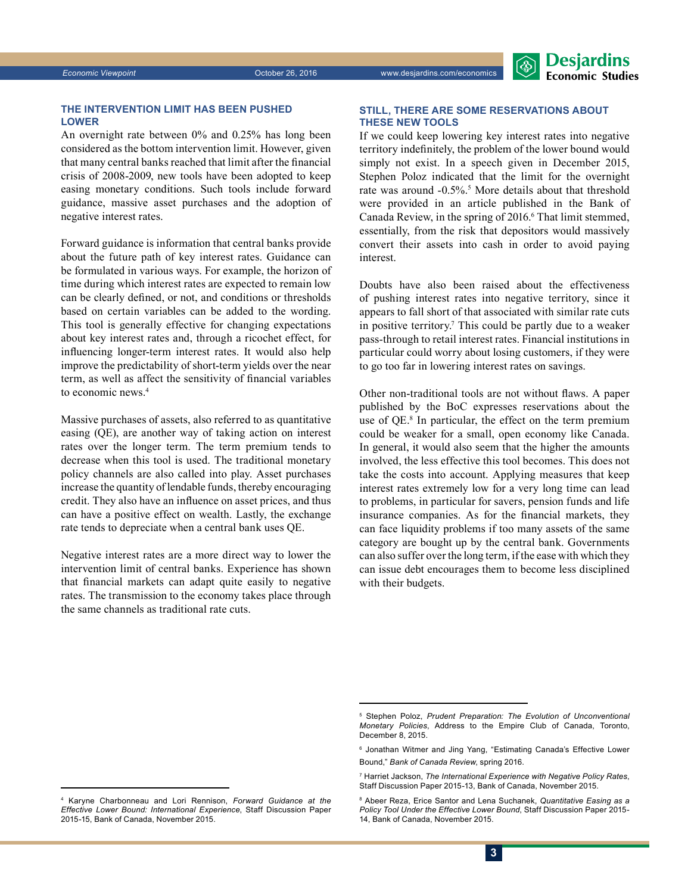#### **THE INTERVENTION LIMIT HAS BEEN PUSHED LOWER**

An overnight rate between 0% and 0.25% has long been considered as the bottom intervention limit. However, given that many central banks reached that limit after the financial crisis of 2008-2009, new tools have been adopted to keep easing monetary conditions. Such tools include forward guidance, massive asset purchases and the adoption of negative interest rates.

Forward guidance is information that central banks provide about the future path of key interest rates. Guidance can be formulated in various ways. For example, the horizon of time during which interest rates are expected to remain low can be clearly defined, or not, and conditions or thresholds based on certain variables can be added to the wording. This tool is generally effective for changing expectations about key interest rates and, through a ricochet effect, for influencing longer-term interest rates. It would also help improve the predictability of short-term yields over the near term, as well as affect the sensitivity of financial variables to economic news.4

Massive purchases of assets, also referred to as quantitative easing (QE), are another way of taking action on interest rates over the longer term. The term premium tends to decrease when this tool is used. The traditional monetary policy channels are also called into play. Asset purchases increase the quantity of lendable funds, thereby encouraging credit. They also have an influence on asset prices, and thus can have a positive effect on wealth. Lastly, the exchange rate tends to depreciate when a central bank uses QE.

Negative interest rates are a more direct way to lower the intervention limit of central banks. Experience has shown that financial markets can adapt quite easily to negative rates. The transmission to the economy takes place through the same channels as traditional rate cuts.

#### **STILL, THERE ARE SOME RESERVATIONS ABOUT THESE NEW TOOLS**

If we could keep lowering key interest rates into negative territory indefinitely, the problem of the lower bound would simply not exist. In a speech given in December 2015, Stephen Poloz indicated that the limit for the overnight rate was around -0.5%.<sup>5</sup> More details about that threshold were provided in an article published in the Bank of Canada Review, in the spring of 2016.<sup>6</sup> That limit stemmed, essentially, from the risk that depositors would massively convert their assets into cash in order to avoid paying interest.

Doubts have also been raised about the effectiveness of pushing interest rates into negative territory, since it appears to fall short of that associated with similar rate cuts in positive territory.7 This could be partly due to a weaker pass-through to retail interest rates. Financial institutions in particular could worry about losing customers, if they were to go too far in lowering interest rates on savings.

Other non-traditional tools are not without flaws. A paper published by the BoC expresses reservations about the use of QE.8 In particular, the effect on the term premium could be weaker for a small, open economy like Canada. In general, it would also seem that the higher the amounts involved, the less effective this tool becomes. This does not take the costs into account. Applying measures that keep interest rates extremely low for a very long time can lead to problems, in particular for savers, pension funds and life insurance companies. As for the financial markets, they can face liquidity problems if too many assets of the same category are bought up by the central bank. Governments can also suffer over the long term, if the ease with which they can issue debt encourages them to become less disciplined with their budgets.

<sup>&</sup>lt;sup>5</sup> Stephen Poloz, *Prudent Preparation: The Evolution of Unconventional Monetary Policies*, Address to the Empire Club of Canada, Toronto, December 8, 2015.

<sup>6</sup> Jonathan Witmer and Jing Yang, "Estimating Canada's Effective Lower Bound," *Bank of Canada Review*, spring 2016.

<sup>7</sup> Harriet Jackson, *The International Experience with Negative Policy Rates*, Staff Discussion Paper 2015-13, Bank of Canada, November 2015.

<sup>8</sup> Abeer Reza, Erice Santor and Lena Suchanek, *Quantitative Easing as a Policy Tool Under the Effective Lower Bound*, Staff Discussion Paper 2015- 14, Bank of Canada, November 2015.

<sup>4</sup> Karyne Charbonneau and Lori Rennison, *Forward Guidance at the Effective Lower Bound: International Experience*, Staff Discussion Paper 2015-15, Bank of Canada, November 2015.